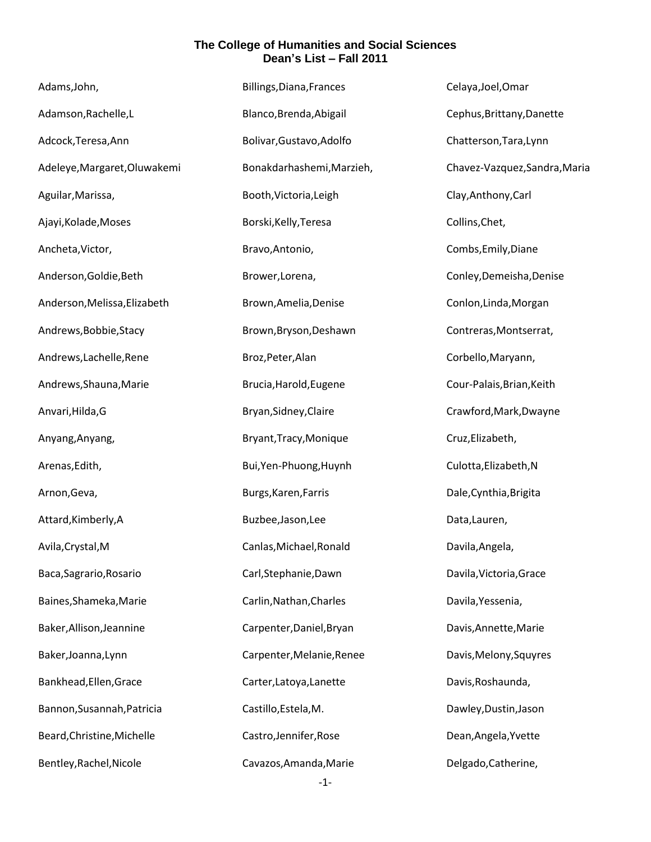| Adams, John,                 | Billings, Diana, Frances  | Celaya, Joel, Omar            |
|------------------------------|---------------------------|-------------------------------|
| Adamson, Rachelle, L         | Blanco, Brenda, Abigail   | Cephus, Brittany, Danette     |
| Adcock, Teresa, Ann          | Bolivar, Gustavo, Adolfo  | Chatterson, Tara, Lynn        |
| Adeleye, Margaret, Oluwakemi | Bonakdarhashemi, Marzieh, | Chavez-Vazquez, Sandra, Maria |
| Aguilar, Marissa,            | Booth, Victoria, Leigh    | Clay, Anthony, Carl           |
| Ajayi, Kolade, Moses         | Borski, Kelly, Teresa     | Collins, Chet,                |
| Ancheta, Victor,             | Bravo, Antonio,           | Combs, Emily, Diane           |
| Anderson, Goldie, Beth       | Brower, Lorena,           | Conley, Demeisha, Denise      |
| Anderson, Melissa, Elizabeth | Brown, Amelia, Denise     | Conlon, Linda, Morgan         |
| Andrews, Bobbie, Stacy       | Brown, Bryson, Deshawn    | Contreras, Montserrat,        |
| Andrews, Lachelle, Rene      | Broz, Peter, Alan         | Corbello, Maryann,            |
| Andrews, Shauna, Marie       | Brucia, Harold, Eugene    | Cour-Palais, Brian, Keith     |
| Anvari, Hilda, G             | Bryan, Sidney, Claire     | Crawford, Mark, Dwayne        |
| Anyang, Anyang,              | Bryant, Tracy, Monique    | Cruz, Elizabeth,              |
| Arenas, Edith,               | Bui, Yen-Phuong, Huynh    | Culotta, Elizabeth, N         |
| Arnon, Geva,                 | Burgs, Karen, Farris      | Dale, Cynthia, Brigita        |
| Attard, Kimberly, A          | Buzbee, Jason, Lee        | Data, Lauren,                 |
| Avila, Crystal, M            | Canlas, Michael, Ronald   | Davila, Angela,               |
| Baca, Sagrario, Rosario      | Carl, Stephanie, Dawn     | Davila, Victoria, Grace       |
| Baines, Shameka, Marie       | Carlin, Nathan, Charles   | Davila, Yessenia,             |
| Baker, Allison, Jeannine     | Carpenter, Daniel, Bryan  | Davis, Annette, Marie         |
| Baker, Joanna, Lynn          | Carpenter, Melanie, Renee | Davis, Melony, Squyres        |
| Bankhead, Ellen, Grace       | Carter, Latoya, Lanette   | Davis, Roshaunda,             |
| Bannon, Susannah, Patricia   | Castillo, Estela, M.      | Dawley, Dustin, Jason         |
| Beard, Christine, Michelle   | Castro, Jennifer, Rose    | Dean, Angela, Yvette          |
| Bentley, Rachel, Nicole      | Cavazos, Amanda, Marie    | Delgado, Catherine,           |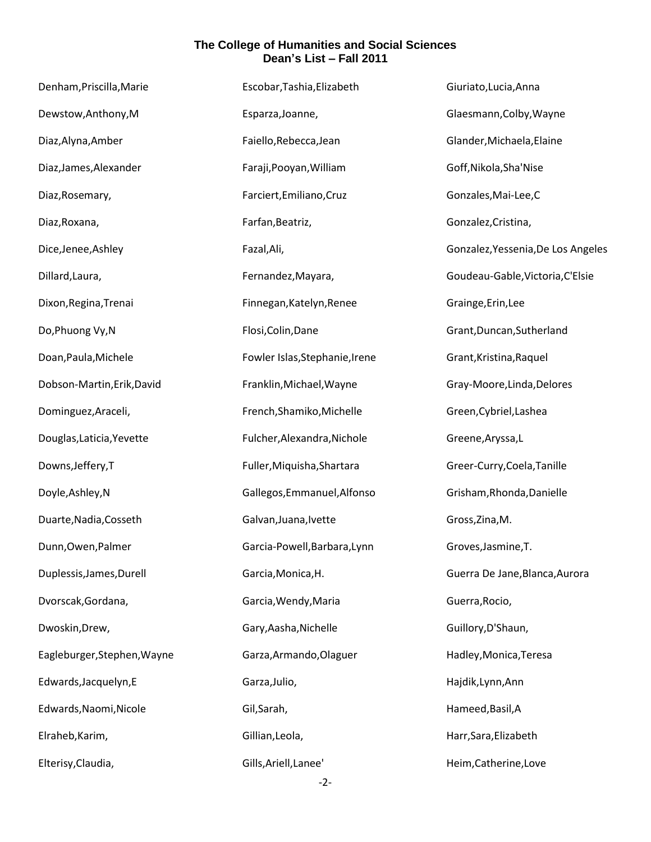| Denham, Priscilla, Marie    | Escobar, Tashia, Elizabeth     | Giuriato, Lucia, Anna              |
|-----------------------------|--------------------------------|------------------------------------|
| Dewstow, Anthony, M         | Esparza, Joanne,               | Glaesmann, Colby, Wayne            |
| Diaz, Alyna, Amber          | Faiello, Rebecca, Jean         | Glander, Michaela, Elaine          |
| Diaz, James, Alexander      | Faraji, Pooyan, William        | Goff, Nikola, Sha'Nise             |
| Diaz, Rosemary,             | Farciert, Emiliano, Cruz       | Gonzales, Mai-Lee, C               |
| Diaz, Roxana,               | Farfan, Beatriz,               | Gonzalez, Cristina,                |
| Dice, Jenee, Ashley         | Fazal, Ali,                    | Gonzalez, Yessenia, De Los Angeles |
| Dillard, Laura,             | Fernandez, Mayara,             | Goudeau-Gable, Victoria, C'Elsie   |
| Dixon, Regina, Trenai       | Finnegan, Katelyn, Renee       | Grainge, Erin, Lee                 |
| Do, Phuong Vy, N            | Flosi, Colin, Dane             | Grant, Duncan, Sutherland          |
| Doan, Paula, Michele        | Fowler Islas, Stephanie, Irene | Grant, Kristina, Raquel            |
| Dobson-Martin, Erik, David  | Franklin, Michael, Wayne       | Gray-Moore, Linda, Delores         |
| Dominguez, Araceli,         | French, Shamiko, Michelle      | Green, Cybriel, Lashea             |
| Douglas, Laticia, Yevette   | Fulcher, Alexandra, Nichole    | Greene, Aryssa, L                  |
| Downs, Jeffery, T           | Fuller, Miquisha, Shartara     | Greer-Curry, Coela, Tanille        |
| Doyle, Ashley, N            | Gallegos, Emmanuel, Alfonso    | Grisham, Rhonda, Danielle          |
| Duarte, Nadia, Cosseth      | Galvan, Juana, Ivette          | Gross, Zina, M.                    |
| Dunn, Owen, Palmer          | Garcia-Powell, Barbara, Lynn   | Groves, Jasmine, T.                |
| Duplessis, James, Durell    | Garcia, Monica, H.             | Guerra De Jane, Blanca, Aurora     |
| Dvorscak, Gordana,          | Garcia, Wendy, Maria           | Guerra, Rocio,                     |
| Dwoskin, Drew,              | Gary, Aasha, Nichelle          | Guillory, D'Shaun,                 |
| Eagleburger, Stephen, Wayne | Garza, Armando, Olaguer        | Hadley, Monica, Teresa             |
| Edwards, Jacquelyn, E       | Garza, Julio,                  | Hajdik, Lynn, Ann                  |
| Edwards, Naomi, Nicole      | Gil, Sarah,                    | Hameed, Basil, A                   |
| Elraheb, Karim,             | Gillian, Leola,                | Harr, Sara, Elizabeth              |
| Elterisy, Claudia,          | Gills, Ariell, Lanee'          | Heim, Catherine, Love              |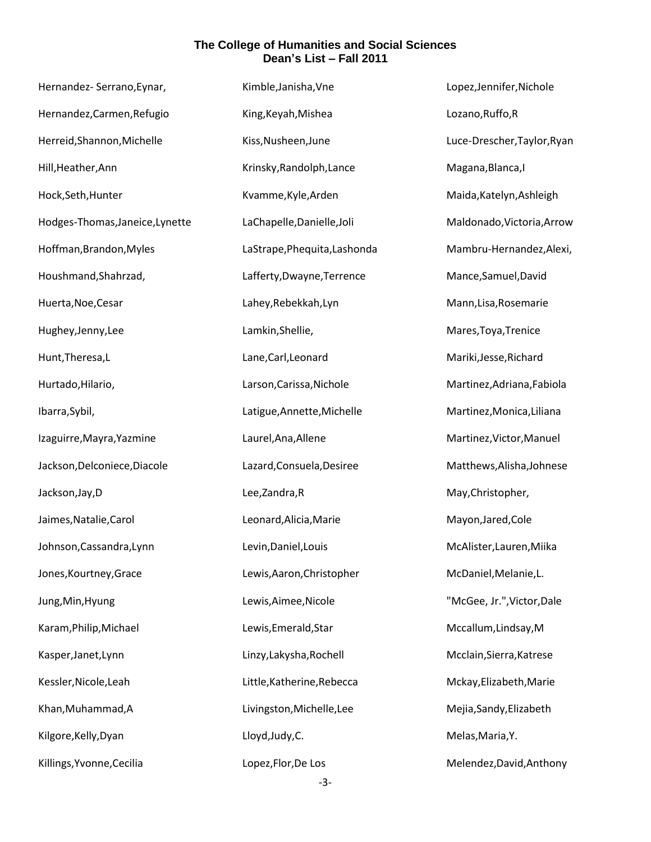| Hernandez- Serrano, Eynar,      | Kimble, Janisha, Vne         | Lopez, Jennifer, Nichole    |
|---------------------------------|------------------------------|-----------------------------|
| Hernandez, Carmen, Refugio      | King, Keyah, Mishea          | Lozano, Ruffo, R            |
| Herreid, Shannon, Michelle      | Kiss, Nusheen, June          | Luce-Drescher, Taylor, Ryan |
| Hill, Heather, Ann              | Krinsky, Randolph, Lance     | Magana, Blanca, I           |
| Hock, Seth, Hunter              | Kvamme, Kyle, Arden          | Maida, Katelyn, Ashleigh    |
| Hodges-Thomas, Janeice, Lynette | LaChapelle, Danielle, Joli   | Maldonado, Victoria, Arrow  |
| Hoffman, Brandon, Myles         | LaStrape, Phequita, Lashonda | Mambru-Hernandez, Alexi,    |
| Houshmand, Shahrzad,            | Lafferty, Dwayne, Terrence   | Mance, Samuel, David        |
| Huerta, Noe, Cesar              | Lahey, Rebekkah, Lyn         | Mann, Lisa, Rosemarie       |
| Hughey, Jenny, Lee              | Lamkin, Shellie,             | Mares, Toya, Trenice        |
| Hunt, Theresa, L                | Lane, Carl, Leonard          | Mariki, Jesse, Richard      |
| Hurtado, Hilario,               | Larson, Carissa, Nichole     | Martinez, Adriana, Fabiola  |
| Ibarra, Sybil,                  | Latigue, Annette, Michelle   | Martinez, Monica, Liliana   |
| Izaguirre, Mayra, Yazmine       | Laurel, Ana, Allene          | Martinez, Victor, Manuel    |
| Jackson, Delconiece, Diacole    | Lazard, Consuela, Desiree    | Matthews, Alisha, Johnese   |
| Jackson, Jay, D                 | Lee, Zandra, R               | May, Christopher,           |
| Jaimes, Natalie, Carol          | Leonard, Alicia, Marie       | Mayon, Jared, Cole          |
| Johnson, Cassandra, Lynn        | Levin, Daniel, Louis         | McAlister, Lauren, Miika    |
| Jones, Kourtney, Grace          | Lewis, Aaron, Christopher    | McDaniel, Melanie, L.       |
| Jung, Min, Hyung                | Lewis, Aimee, Nicole         | "McGee, Jr.", Victor, Dale  |
| Karam, Philip, Michael          | Lewis, Emerald, Star         | Mccallum, Lindsay, M        |
| Kasper, Janet, Lynn             | Linzy, Lakysha, Rochell      | Mcclain, Sierra, Katrese    |
| Kessler, Nicole, Leah           | Little, Katherine, Rebecca   | Mckay, Elizabeth, Marie     |
| Khan, Muhammad, A               | Livingston, Michelle, Lee    | Mejia, Sandy, Elizabeth     |
| Kilgore, Kelly, Dyan            | Lloyd, Judy, C.              | Melas, Maria, Y.            |
| Killings, Yvonne, Cecilia       | Lopez, Flor, De Los          | Melendez, David, Anthony    |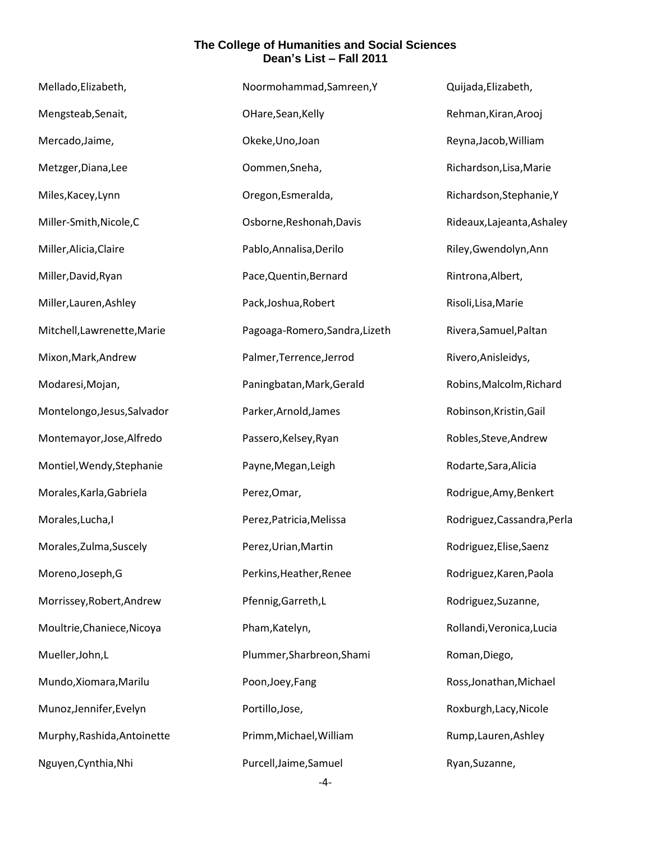| Mellado, Elizabeth,         | Noormohammad, Samreen, Y       | Quijada, Elizabeth,         |
|-----------------------------|--------------------------------|-----------------------------|
| Mengsteab, Senait,          | OHare, Sean, Kelly             | Rehman, Kiran, Arooj        |
| Mercado, Jaime,             | Okeke, Uno, Joan               | Reyna, Jacob, William       |
| Metzger, Diana, Lee         | Oommen, Sneha,                 | Richardson, Lisa, Marie     |
| Miles, Kacey, Lynn          | Oregon, Esmeralda,             | Richardson, Stephanie, Y    |
| Miller-Smith, Nicole, C     | Osborne, Reshonah, Davis       | Rideaux, Lajeanta, Ashaley  |
| Miller, Alicia, Claire      | Pablo, Annalisa, Derilo        | Riley, Gwendolyn, Ann       |
| Miller, David, Ryan         | Pace, Quentin, Bernard         | Rintrona, Albert,           |
| Miller, Lauren, Ashley      | Pack, Joshua, Robert           | Risoli, Lisa, Marie         |
| Mitchell, Lawrenette, Marie | Pagoaga-Romero, Sandra, Lizeth | Rivera, Samuel, Paltan      |
| Mixon, Mark, Andrew         | Palmer, Terrence, Jerrod       | Rivero, Anisleidys,         |
| Modaresi, Mojan,            | Paningbatan, Mark, Gerald      | Robins, Malcolm, Richard    |
| Montelongo, Jesus, Salvador | Parker, Arnold, James          | Robinson, Kristin, Gail     |
| Montemayor, Jose, Alfredo   | Passero, Kelsey, Ryan          | Robles, Steve, Andrew       |
| Montiel, Wendy, Stephanie   | Payne, Megan, Leigh            | Rodarte, Sara, Alicia       |
| Morales, Karla, Gabriela    | Perez, Omar,                   | Rodrigue, Amy, Benkert      |
| Morales, Lucha, I           | Perez, Patricia, Melissa       | Rodriguez, Cassandra, Perla |
| Morales, Zulma, Suscely     | Perez, Urian, Martin           | Rodriguez, Elise, Saenz     |
| Moreno, Joseph, G           | Perkins, Heather, Renee        | Rodriguez, Karen, Paola     |
| Morrissey, Robert, Andrew   | Pfennig, Garreth, L            | Rodriguez, Suzanne,         |
| Moultrie, Chaniece, Nicoya  | Pham, Katelyn,                 | Rollandi, Veronica, Lucia   |
| Mueller, John, L            | Plummer, Sharbreon, Shami      | Roman, Diego,               |
| Mundo, Xiomara, Marilu      | Poon, Joey, Fang               | Ross, Jonathan, Michael     |
| Munoz, Jennifer, Evelyn     | Portillo, Jose,                | Roxburgh, Lacy, Nicole      |
| Murphy, Rashida, Antoinette | Primm, Michael, William        | Rump, Lauren, Ashley        |
| Nguyen, Cynthia, Nhi        | Purcell, Jaime, Samuel         | Ryan, Suzanne,              |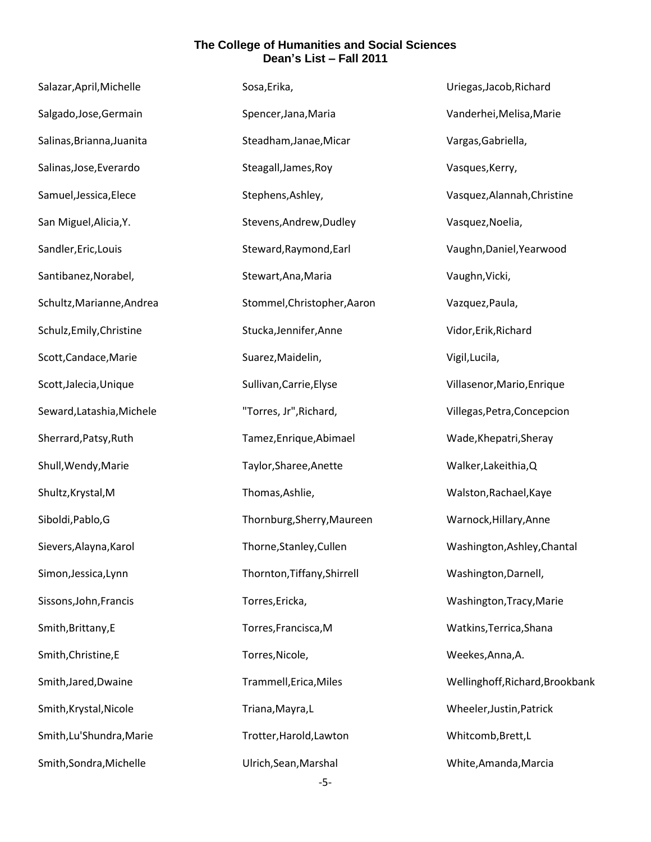| Salazar, April, Michelle  | Sosa, Erika,                | Uriegas, Jacob, Richard         |
|---------------------------|-----------------------------|---------------------------------|
| Salgado, Jose, Germain    | Spencer, Jana, Maria        | Vanderhei, Melisa, Marie        |
| Salinas, Brianna, Juanita | Steadham, Janae, Micar      | Vargas, Gabriella,              |
| Salinas, Jose, Everardo   | Steagall, James, Roy        | Vasques, Kerry,                 |
| Samuel, Jessica, Elece    | Stephens, Ashley,           | Vasquez, Alannah, Christine     |
| San Miguel, Alicia, Y.    | Stevens, Andrew, Dudley     | Vasquez, Noelia,                |
| Sandler, Eric, Louis      | Steward, Raymond, Earl      | Vaughn, Daniel, Yearwood        |
| Santibanez, Norabel,      | Stewart, Ana, Maria         | Vaughn, Vicki,                  |
| Schultz, Marianne, Andrea | Stommel, Christopher, Aaron | Vazquez, Paula,                 |
| Schulz, Emily, Christine  | Stucka, Jennifer, Anne      | Vidor, Erik, Richard            |
| Scott, Candace, Marie     | Suarez, Maidelin,           | Vigil, Lucila,                  |
| Scott, Jalecia, Unique    | Sullivan, Carrie, Elyse     | Villasenor, Mario, Enrique      |
| Seward, Latashia, Michele | "Torres, Jr", Richard,      | Villegas, Petra, Concepcion     |
| Sherrard, Patsy, Ruth     | Tamez, Enrique, Abimael     | Wade, Khepatri, Sheray          |
| Shull, Wendy, Marie       | Taylor, Sharee, Anette      | Walker, Lakeithia, Q            |
| Shultz, Krystal, M        | Thomas, Ashlie,             | Walston, Rachael, Kaye          |
| Siboldi, Pablo, G         | Thornburg, Sherry, Maureen  | Warnock, Hillary, Anne          |
| Sievers, Alayna, Karol    | Thorne, Stanley, Cullen     | Washington, Ashley, Chantal     |
| Simon, Jessica, Lynn      | Thornton, Tiffany, Shirrell | Washington, Darnell,            |
| Sissons, John, Francis    | Torres, Ericka,             | Washington, Tracy, Marie        |
| Smith, Brittany, E        | Torres, Francisca, M        | Watkins, Terrica, Shana         |
| Smith, Christine, E       | Torres, Nicole,             | Weekes, Anna, A.                |
| Smith, Jared, Dwaine      | Trammell, Erica, Miles      | Wellinghoff, Richard, Brookbank |
| Smith, Krystal, Nicole    | Triana, Mayra, L            | Wheeler, Justin, Patrick        |
| Smith, Lu'Shundra, Marie  | Trotter, Harold, Lawton     | Whitcomb, Brett, L              |
| Smith, Sondra, Michelle   | Ulrich, Sean, Marshal       | White, Amanda, Marcia           |